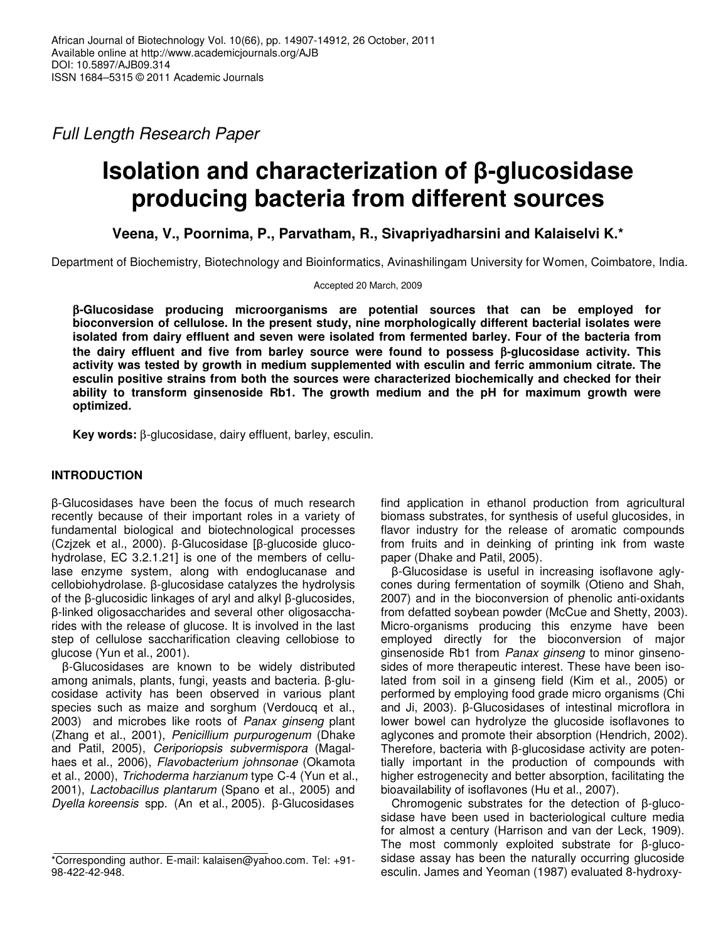*Full Length Research Paper*

# **Isolation** and characterization of β-glucosidase **producing bacteria from different sources**

**Veena, V., Poornima, P., Parvatham, R., Sivapriyadharsini and Kalaiselvi K.\***

Department of Biochemistry, Biotechnology and Bioinformatics, Avinashilingam University for Women, Coimbatore, India.

Accepted 20 March, 2009

β**-Glucosidase producing microorganisms are potential sources that can be employed for bioconversion of cellulose. In the present study, nine morphologically different bacterial isolates were isolated from dairy effluent and seven were isolated from fermented barley. Four of the bacteria from the dairy effluent and five from barley source were found to possess** β**-glucosidase activity. This activity was tested by growth in medium supplemented with esculin and ferric ammonium citrate. The esculin positive strains from both the sources were characterized biochemically and checked for their ability to transform ginsenoside Rb1. The growth medium and the pH for maximum growth were optimized.**

**Key words:** β-glucosidase, dairy effluent, barley, esculin.

# **INTRODUCTION**

-Glucosidases have been the focus of much research recently because of their important roles in a variety of fundamental biological and biotechnological processes (Czjzek et al., 2000).  $\beta$ -Glucosidase [ $\beta$ -glucoside glucohydrolase, EC 3.2.1.21] is one of the members of cellulase enzyme system, along with endoglucanase and  $c$ ellobiohydrolase.  $\beta$ -glucosidase catalyzes the hydrolysis of the  $\beta$ -glucosidic linkages of aryl and alkyl  $\beta$ -glucosides,  $β$ -linked oligosaccharides and several other oligosaccharides with the release of glucose. It is involved in the last step of cellulose saccharification cleaving cellobiose to glucose (Yun et al., 2001).

-Glucosidases are known to be widely distributed among animals, plants, fungi, yeasts and bacteria.  $\beta$ -glucosidase activity has been observed in various plant species such as maize and sorghum (Verdoucq et al., 2003) and microbes like roots of *Panax ginseng* plant (Zhang et al., 2001), *Penicillium purpurogenum* (Dhake and Patil, 2005), *Ceriporiopsis subvermispora* (Magalhaes et al., 2006), *Flavobacterium johnsonae* (Okamota et al., 2000), *Trichoderma harzianum* type C-4 (Yun et al., 2001), *Lactobacillus plantarum* (Spano et al., 2005) and *Dyella koreensis* spp. (An et al., 2005). β-Glucosidases

find application in ethanol production from agricultural biomass substrates, for synthesis of useful glucosides, in flavor industry for the release of aromatic compounds from fruits and in deinking of printing ink from waste paper (Dhake and Patil, 2005).

-Glucosidase is useful in increasing isoflavone aglycones during fermentation of soymilk (Otieno and Shah, 2007) and in the bioconversion of phenolic anti-oxidants from defatted soybean powder (McCue and Shetty, 2003). Micro-organisms producing this enzyme have been employed directly for the bioconversion of major ginsenoside Rb1 from *Panax ginseng* to minor ginsenosides of more therapeutic interest. These have been isolated from soil in a ginseng field (Kim et al., 2005) or performed by employing food grade micro organisms (Chi and Ji, 2003).  $\beta$ -Glucosidases of intestinal microflora in lower bowel can hydrolyze the glucoside isoflavones to aglycones and promote their absorption (Hendrich, 2002). Therefore, bacteria with  $\beta$ -glucosidase activity are potentially important in the production of compounds with higher estrogenecity and better absorption, facilitating the bioavailability of isoflavones (Hu et al., 2007).

Chromogenic substrates for the detection of  $\beta$ -glucosidase have been used in bacteriological culture media for almost a century (Harrison and van der Leck, 1909). The most commonly exploited substrate for  $\beta$ -glucosidase assay has been the naturally occurring glucoside esculin. James and Yeoman (1987) evaluated 8-hydroxy-

<sup>\*</sup>Corresponding author. E-mail: kalaisen@yahoo.com. Tel: +91- 98-422-42-948.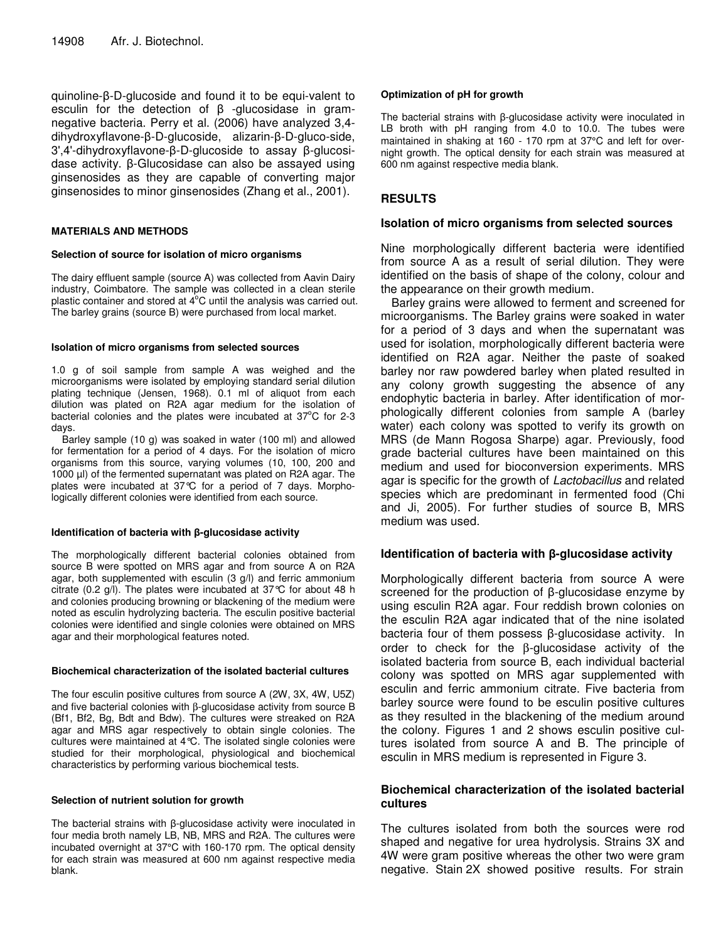$quinoline-B-D-glucoside$  and found it to be equi-valent to esculin for the detection of  $\beta$  -glucosidase in gramnegative bacteria. Perry et al. (2006) have analyzed 3,4 dihydroxyflavone-ß-D-glucoside, alizarin-ß-D-gluco-side,  $3'$ ,4'-dihydroxyflavone- $\beta$ -D-glucoside to assay  $\beta$ -glucosidase activity.  $\beta$ -Glucosidase can also be assayed using ginsenosides as they are capable of converting major ginsenosides to minor ginsenosides (Zhang et al., 2001).

### **MATERIALS AND METHODS**

#### **Selection of source for isolation of micro organisms**

The dairy effluent sample (source A) was collected from Aavin Dairy industry, Coimbatore. The sample was collected in a clean sterile plastic container and stored at 4°C until the analysis was carried out. The barley grains (source B) were purchased from local market.

#### **Isolation of micro organisms from selected sources**

1.0 g of soil sample from sample A was weighed and the microorganisms were isolated by employing standard serial dilution plating technique (Jensen, 1968). 0.1 ml of aliquot from each dilution was plated on R2A agar medium for the isolation of bacterial colonies and the plates were incubated at 37°C for 2-3 days.

Barley sample (10 g) was soaked in water (100 ml) and allowed for fermentation for a period of 4 days. For the isolation of micro organisms from this source, varying volumes (10, 100, 200 and 1000 µl) of the fermented supernatant was plated on R2A agar. The plates were incubated at 37°C for a period of 7 days. Morphologically different colonies were identified from each source.

#### **Identification of bacteria with**  $\beta$ **-glucosidase activity**

The morphologically different bacterial colonies obtained from source B were spotted on MRS agar and from source A on R2A agar, both supplemented with esculin (3 g/l) and ferric ammonium citrate (0.2 g/l). The plates were incubated at 37°C for about 48 h and colonies producing browning or blackening of the medium were noted as esculin hydrolyzing bacteria. The esculin positive bacterial colonies were identified and single colonies were obtained on MRS agar and their morphological features noted.

#### **Biochemical characterization of the isolated bacterial cultures**

The four esculin positive cultures from source A (2W, 3X, 4W, U5Z) and five bacterial colonies with β-glucosidase activity from source B (Bf1, Bf2, Bg, Bdt and Bdw). The cultures were streaked on R2A agar and MRS agar respectively to obtain single colonies. The cultures were maintained at 4°C. The isolated single colonies were studied for their morphological, physiological and biochemical characteristics by performing various biochemical tests.

#### **Selection of nutrient solution for growth**

The bacterial strains with  $\beta$ -glucosidase activity were inoculated in four media broth namely LB, NB, MRS and R2A. The cultures were incubated overnight at 37°C with 160-170 rpm. The optical density for each strain was measured at 600 nm against respective media blank.

## **Optimization of pH for growth**

The bacterial strains with B-glucosidase activity were inoculated in LB broth with pH ranging from 4.0 to 10.0. The tubes were maintained in shaking at 160 - 170 rpm at 37°C and left for overnight growth. The optical density for each strain was measured at 600 nm against respective media blank.

## **RESULTS**

## **Isolation of micro organisms from selected sources**

Nine morphologically different bacteria were identified from source A as a result of serial dilution. They were identified on the basis of shape of the colony, colour and the appearance on their growth medium.

Barley grains were allowed to ferment and screened for microorganisms. The Barley grains were soaked in water for a period of 3 days and when the supernatant was used for isolation, morphologically different bacteria were identified on R2A agar. Neither the paste of soaked barley nor raw powdered barley when plated resulted in any colony growth suggesting the absence of any endophytic bacteria in barley. After identification of morphologically different colonies from sample A (barley water) each colony was spotted to verify its growth on MRS (de Mann Rogosa Sharpe) agar. Previously, food grade bacterial cultures have been maintained on this medium and used for bioconversion experiments. MRS agar is specific for the growth of *Lactobacillus* and related species which are predominant in fermented food (Chi and Ji, 2005). For further studies of source B, MRS medium was used.

## **Identification of bacteria with -glucosidase activity**

Morphologically different bacteria from source A were screened for the production of  $\beta$ -glucosidase enzyme by using esculin R2A agar. Four reddish brown colonies on the esculin R2A agar indicated that of the nine isolated bacteria four of them possess  $\beta$ -glucosidase activity. In order to check for the β-glucosidase activity of the isolated bacteria from source B, each individual bacterial colony was spotted on MRS agar supplemented with esculin and ferric ammonium citrate. Five bacteria from barley source were found to be esculin positive cultures as they resulted in the blackening of the medium around the colony. Figures 1 and 2 shows esculin positive cultures isolated from source A and B. The principle of esculin in MRS medium is represented in Figure 3.

## **Biochemical characterization of the isolated bacterial cultures**

The cultures isolated from both the sources were rod shaped and negative for urea hydrolysis. Strains 3X and 4W were gram positive whereas the other two were gram negative. Stain 2X showed positive results. For strain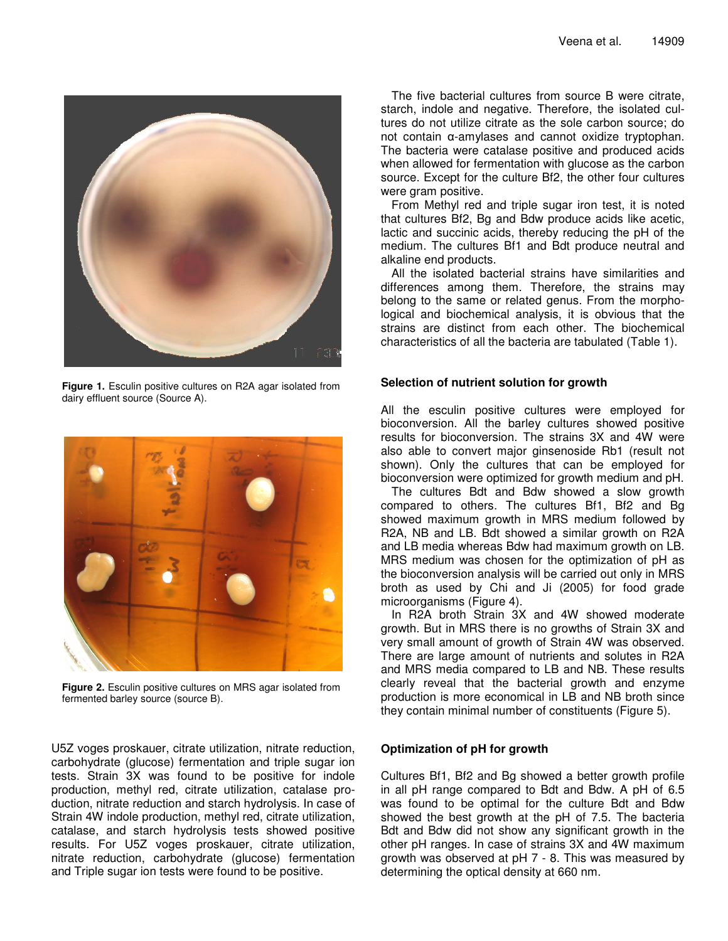

**Figure 1.** Esculin positive cultures on R2A agar isolated from dairy effluent source (Source A).



**Figure 2.** Esculin positive cultures on MRS agar isolated from fermented barley source (source B).

U5Z voges proskauer, citrate utilization, nitrate reduction, carbohydrate (glucose) fermentation and triple sugar ion tests. Strain 3X was found to be positive for indole production, methyl red, citrate utilization, catalase production, nitrate reduction and starch hydrolysis. In case of Strain 4W indole production, methyl red, citrate utilization, catalase, and starch hydrolysis tests showed positive results. For U5Z voges proskauer, citrate utilization, nitrate reduction, carbohydrate (glucose) fermentation and Triple sugar ion tests were found to be positive.

The five bacterial cultures from source B were citrate, starch, indole and negative. Therefore, the isolated cultures do not utilize citrate as the sole carbon source; do not contain α-amylases and cannot oxidize tryptophan. The bacteria were catalase positive and produced acids when allowed for fermentation with glucose as the carbon source. Except for the culture Bf2, the other four cultures were gram positive.

From Methyl red and triple sugar iron test, it is noted that cultures Bf2, Bg and Bdw produce acids like acetic, lactic and succinic acids, thereby reducing the pH of the medium. The cultures Bf1 and Bdt produce neutral and alkaline end products.

All the isolated bacterial strains have similarities and differences among them. Therefore, the strains may belong to the same or related genus. From the morphological and biochemical analysis, it is obvious that the strains are distinct from each other. The biochemical characteristics of all the bacteria are tabulated (Table 1).

## **Selection of nutrient solution for growth**

All the esculin positive cultures were employed for bioconversion. All the barley cultures showed positive results for bioconversion. The strains 3X and 4W were also able to convert major ginsenoside Rb1 (result not shown). Only the cultures that can be employed for bioconversion were optimized for growth medium and pH.

The cultures Bdt and Bdw showed a slow growth compared to others. The cultures Bf1, Bf2 and Bg showed maximum growth in MRS medium followed by R2A, NB and LB. Bdt showed a similar growth on R2A and LB media whereas Bdw had maximum growth on LB. MRS medium was chosen for the optimization of pH as the bioconversion analysis will be carried out only in MRS broth as used by Chi and Ji (2005) for food grade microorganisms (Figure 4).

In R2A broth Strain 3X and 4W showed moderate growth. But in MRS there is no growths of Strain 3X and very small amount of growth of Strain 4W was observed. There are large amount of nutrients and solutes in R2A and MRS media compared to LB and NB. These results clearly reveal that the bacterial growth and enzyme production is more economical in LB and NB broth since they contain minimal number of constituents (Figure 5).

# **Optimization of pH for growth**

Cultures Bf1, Bf2 and Bg showed a better growth profile in all pH range compared to Bdt and Bdw. A pH of 6.5 was found to be optimal for the culture Bdt and Bdw showed the best growth at the pH of 7.5. The bacteria Bdt and Bdw did not show any significant growth in the other pH ranges. In case of strains 3X and 4W maximum growth was observed at pH 7 - 8. This was measured by determining the optical density at 660 nm.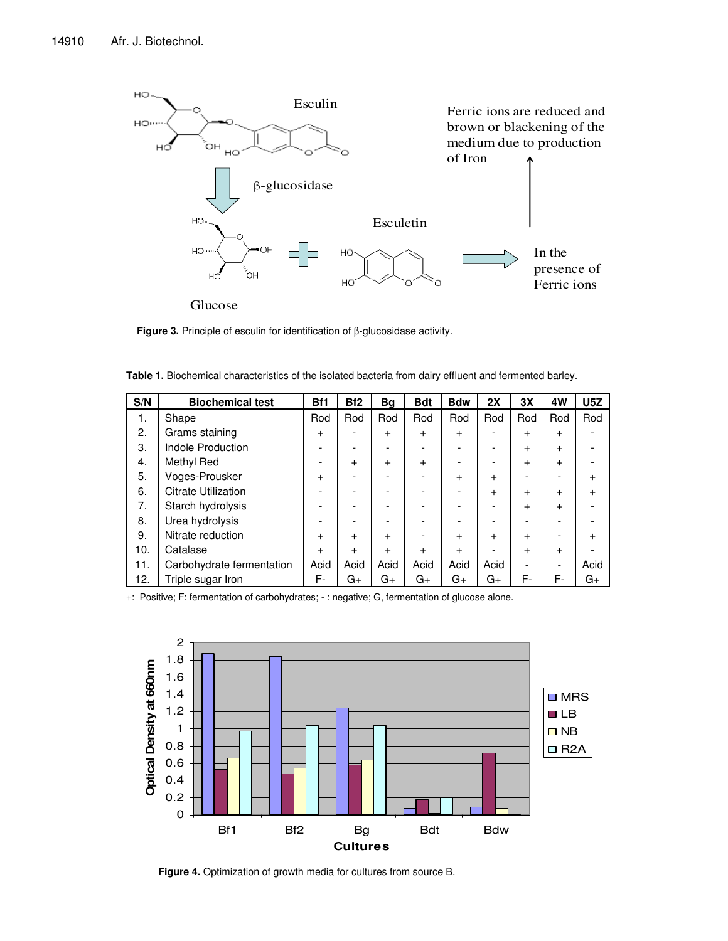

**Figure 3.** Principle of esculin for identification of β-glucosidase activity.

| S/N | <b>Biochemical test</b>    | B <sub>f1</sub> | Bf <sub>2</sub> | Вg        | <b>Bdt</b> | <b>Bdw</b> | 2X        | 3X        | 4W        | U5Z       |
|-----|----------------------------|-----------------|-----------------|-----------|------------|------------|-----------|-----------|-----------|-----------|
| 1.  | Shape                      | Rod             | Rod             | Rod       | Rod        | Rod        | Rod       | Rod       | Rod       | Rod       |
| 2.  | Grams staining             | $\ddot{}$       | -               | $\ddot{}$ | $\ddot{}$  | $\ddot{}$  |           | $\ddot{}$ | $\ddot{}$ |           |
| 3.  | <b>Indole Production</b>   |                 | -               |           |            |            |           | $\ddot{}$ | $\ddot{}$ |           |
| 4.  | Methyl Red                 |                 | $\ddot{}$       | $\ddot{}$ | $\ddot{}$  |            |           | $\ddot{}$ | $\ddot{}$ |           |
| 5.  | Voges-Prousker             | $\ddot{}$       | -               |           |            | $\ddot{}$  | $\ddot{}$ |           |           | $\ddot{}$ |
| 6.  | <b>Citrate Utilization</b> |                 |                 |           |            |            | $\ddot{}$ | $\ddot{}$ | $\ddot{}$ | $\ddot{}$ |
| 7.  | Starch hydrolysis          |                 |                 |           |            |            |           | $\ddot{}$ | $\ddot{}$ |           |
| 8.  | Urea hydrolysis            |                 |                 |           |            |            |           |           |           |           |
| 9.  | Nitrate reduction          | $\ddot{}$       | $\ddot{}$       | $\ddot{}$ |            | $\ddot{}$  | $\ddot{}$ | $\ddot{}$ |           | $\ddot{}$ |
| 10. | Catalase                   | $\ddot{}$       | $+$             | $\ddot{}$ | $\ddot{}$  | $\ddot{}$  |           | $\ddot{}$ | $\ddot{}$ |           |
| 11. | Carbohydrate fermentation  | Acid            | Acid            | Acid      | Acid       | Acid       | Acid      |           |           | Acid      |
| 12. | Triple sugar Iron          | F-              | G+              | G+        | G+         | G+         | G+        | F-        | F-        | G+        |

**Table 1.** Biochemical characteristics of the isolated bacteria from dairy effluent and fermented barley.

+: Positive; F: fermentation of carbohydrates; -: negative; G, fermentation of glucose alone.



**Figure 4.** Optimization of growth media for cultures from source B.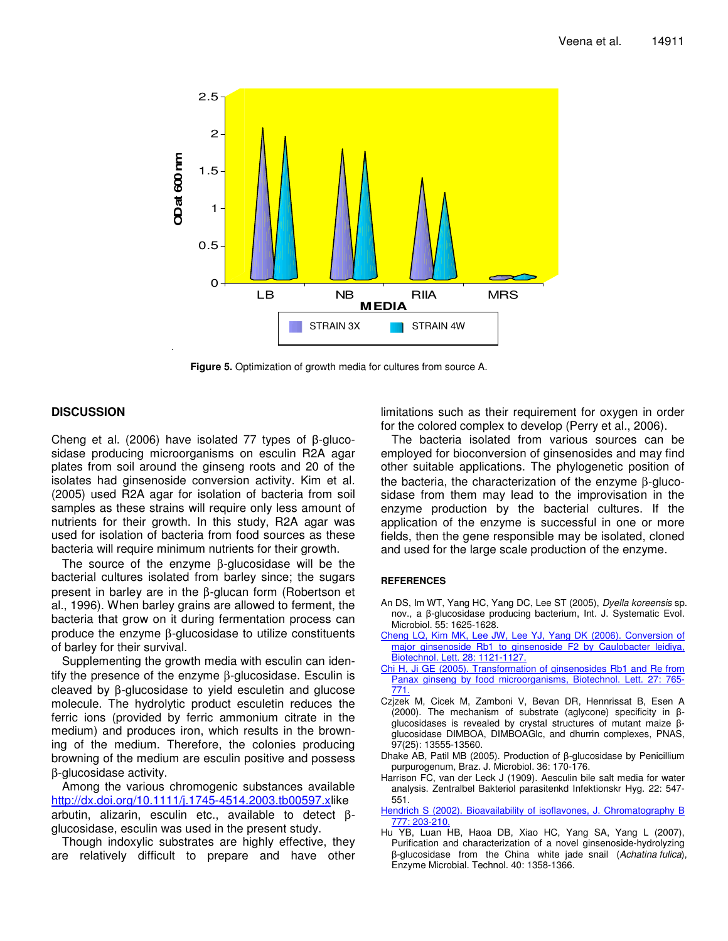

**Figure 5.** Optimization of growth media for cultures from source A.

## **DISCUSSION**

Cheng et al. (2006) have isolated 77 types of  $\beta$ -glucosidase producing microorganisms on esculin R2A agar plates from soil around the ginseng roots and 20 of the isolates had ginsenoside conversion activity. Kim et al*.* (2005) used R2A agar for isolation of bacteria from soil samples as these strains will require only less amount of nutrients for their growth. In this study, R2A agar was used for isolation of bacteria from food sources as these bacteria will require minimum nutrients for their growth.

The source of the enzyme β-glucosidase will be the bacterial cultures isolated from barley since; the sugars present in barley are in the β-glucan form (Robertson et al*.*, 1996). When barley grains are allowed to ferment, the bacteria that grow on it during fermentation process can produce the enzyme β-glucosidase to utilize constituents of barley for their survival.

Supplementing the growth media with esculin can identify the presence of the enzyme β-glucosidase. Esculin is cleaved by β-glucosidase to yield esculetin and glucose molecule. The hydrolytic product esculetin reduces the ferric ions (provided by ferric ammonium citrate in the medium) and produces iron, which results in the browning of the medium. Therefore, the colonies producing browning of the medium are esculin positive and possess β-glucosidase activity.

Among the various chromogenic substances available http://dx.doi.org/10.1111/j.1745-4514.2003.tb00597.xlike arbutin, alizarin, esculin etc., available to detect βglucosidase, esculin was used in the present study.

Though indoxylic substrates are highly effective, they are relatively difficult to prepare and have other limitations such as their requirement for oxygen in order for the colored complex to develop (Perry et al*.*, 2006).

The bacteria isolated from various sources can be employed for bioconversion of ginsenosides and may find other suitable applications. The phylogenetic position of the bacteria, the characterization of the enzyme β-glucosidase from them may lead to the improvisation in the enzyme production by the bacterial cultures. If the application of the enzyme is successful in one or more fields, then the gene responsible may be isolated, cloned and used for the large scale production of the enzyme.

#### **REFERENCES**

- An DS, Im WT, Yang HC, Yang DC, Lee ST (2005), *Dyella koreensis* sp. nov., a β-glucosidase producing bacterium, Int. J. Systematic Evol. Microbiol. 55: 1625-1628.
- Cheng LQ, Kim MK, Lee JW, Lee YJ, Yang DK (2006). Conversion of major ginsenoside Rb1 to ginsenoside F2 by Caulobacter leidiya, Biotechnol. Lett. 28: 1121-1127.
- Chi H, Ji GE (2005). Transformation of ginsenosides Rb1 and Re from Panax ginseng by food microorganisms, Biotechnol. Lett. 27: 765- 771.
- Czjzek M, Cicek M, Zamboni V, Bevan DR, Hennrissat B, Esen A (2000). The mechanism of substrate (aglycone) specificity in  $\beta$ glucosidases is revealed by crystal structures of mutant maize  $\beta$ glucosidase DIMBOA, DIMBOAGlc, and dhurrin complexes, PNAS, 97(25): 13555-13560.
- Dhake AB, Patil MB (2005). Production of  $\beta$ -glucosidase by Penicillium purpurogenum, Braz. J. Microbiol. 36: 170-176.
- Harrison FC, van der Leck J (1909). Aesculin bile salt media for water analysis. Zentralbel Bakteriol parasitenkd Infektionskr Hyg. 22: 547- 551.

Hendrich S (2002). Bioavailability of isoflavones, J. Chromatography B 777: 203-210.

Hu YB, Luan HB, Haoa DB, Xiao HC, Yang SA, Yang L (2007), Purification and characterization of a novel ginsenoside-hydrolyzing -glucosidase from the China white jade snail (*Achatina fulica*), Enzyme Microbial. Technol. 40: 1358-1366.